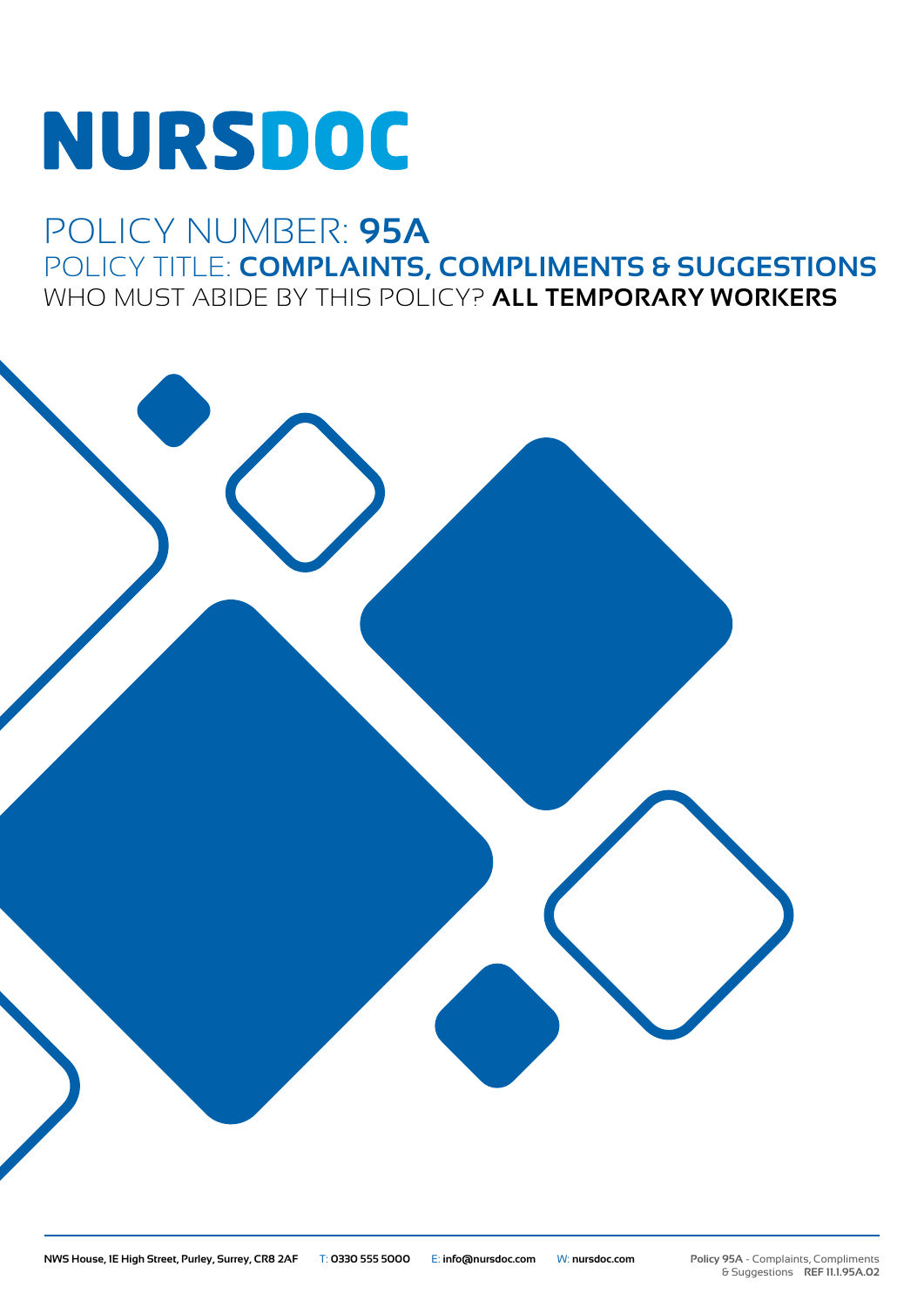# **NURSDOC**

# POLICY NUMBER: **95A** POLICY TITLE: **COMPLAINTS, COMPLIMENTS & SUGGESTIONS** WHO MUST ABIDE BY THIS POLICY? **ALL TEMPORARY WORKERS**

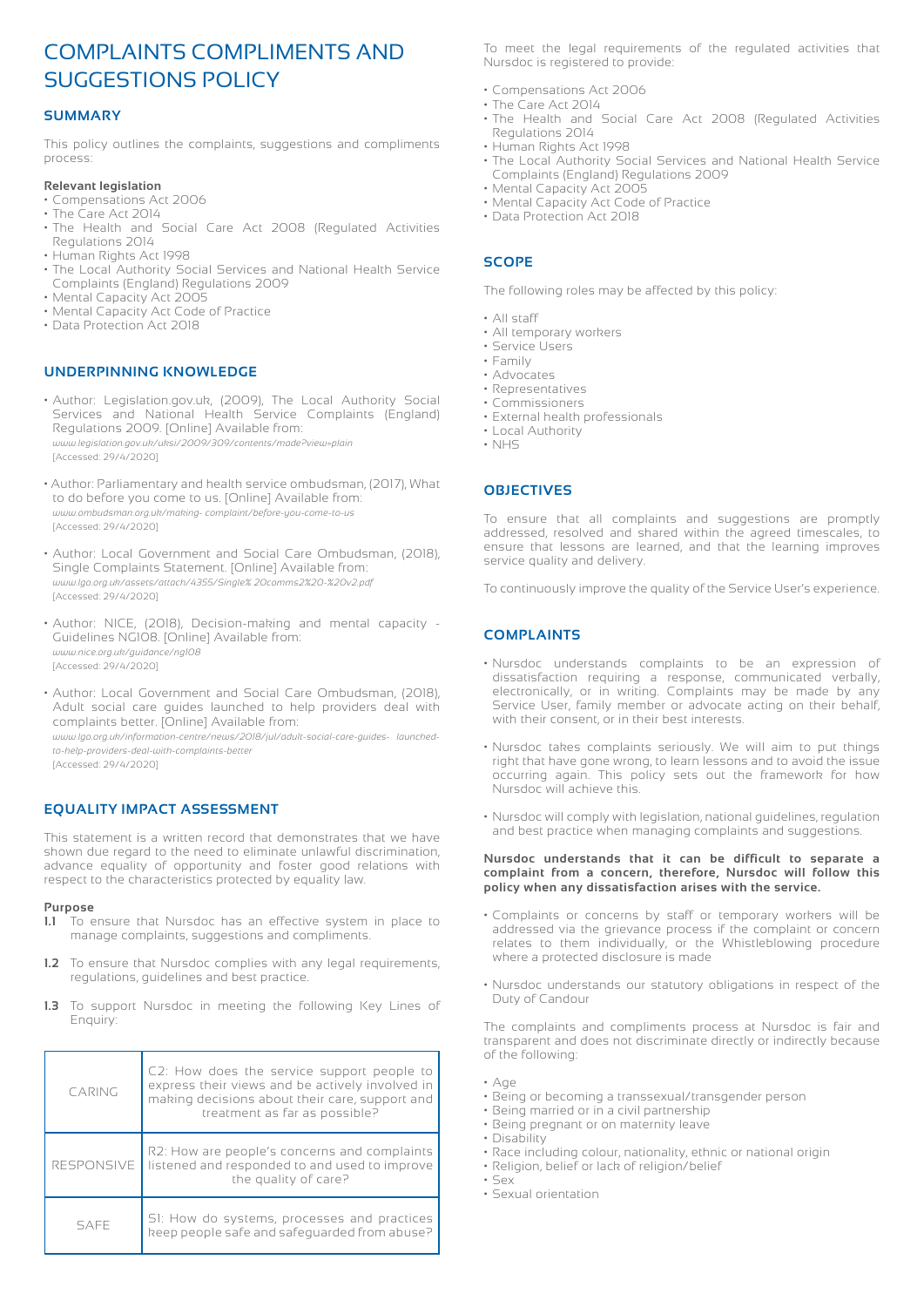# COMPLAINTS COMPLIMENTS AND SUGGESTIONS POLICY

# **SUMMARY**

This policy outlines the complaints, suggestions and compliments process:

#### **Relevant legislation**

- Compensations Act 2006
- The Care Act 2014
- The Health and Social Care Act 2008 (Regulated Activities Regulations 2014
- Human Rights Act 1998
- The Local Authority Social Services and National Health Service Complaints (England) Regulations 2009
- Mental Capacity Act 2005
- Mental Capacity Act Code of Practice
- Data Protection Act 2018

# **UNDERPINNING KNOWLEDGE**

- Author: Legislation.gov.uk, (2009), The Local Authority Social Services and National Health Service Complaints (England) Regulations 2009. [Online] Available from: *www.legislation.gov.uk/uksi/2009/309/contents/made?view=plain* [Accessed: 29/4/2020]
- Author: Parliamentary and health service ombudsman, (2017), What to do before you come to us. [Online] Available from: *www.ombudsman.org.uk/making- complaint/before-you-come-to-us* [Accessed: 29/4/2020]
- Author: Local Government and Social Care Ombudsman, (2018), Single Complaints Statement. [Online] Available from: *www.lgo.org.uk/assets/attach/4355/Single% 20comms2%20-%20v2.pdf* [Accessed: 29/4/2020]
- Author: NICE, (2018), Decision-making and mental capacity Guidelines NG108. [Online] Available from: *www.nice.org.uk/guidance/ng108* [Accessed: 29/4/2020]
- Author: Local Government and Social Care Ombudsman, (2018), Adult social care guides launched to help providers deal with complaints better. [Online] Available from:

*www.lgo.org.uk/information-centre/news/2018/jul/adult-social-care-guides- launchedto-help-providers-deal-with-complaints-better* [Accessed: 29/4/2020]

# **EQUALITY IMPACT ASSESSMENT**

This statement is a written record that demonstrates that we have shown due regard to the need to eliminate unlawful discrimination, advance equality of opportunity and foster good relations with respect to the characteristics protected by equality law.

#### **Purpose**

- **1.1** To ensure that Nursdoc has an effective system in place to manage complaints, suggestions and compliments.
- **1.2** To ensure that Nursdoc complies with any legal requirements, regulations, guidelines and best practice.
- **1.3** To support Nursdoc in meeting the following Key Lines of Enquiry:

| CARING            | C2: How does the service support people to<br>express their views and be actively involved in<br>making decisions about their care, support and<br>treatment as far as possible? |
|-------------------|----------------------------------------------------------------------------------------------------------------------------------------------------------------------------------|
| <b>RESPONSIVE</b> | R2: How are people's concerns and complaints<br>listened and responded to and used to improve<br>the quality of care?                                                            |
| SAFF              | SI: How do systems, processes and practices<br>keep people safe and safequarded from abuse?                                                                                      |

To meet the legal requirements of the regulated activities that Nursdoc is registered to provide:

- Compensations Act 2006
- The Care Act 2014
- The Health and Social Care Act 2008 (Regulated Activities Regulations 2014
- Human Rights Act 1998
- The Local Authority Social Services and National Health Service Complaints (England) Regulations 2009
- Mental Capacity Act 2005
- Mental Capacity Act Code of Practice
- Data Protection Act 2018

# **SCOPE**

The following roles may be affected by this policy:

- All staff
- All temporary workers
- Service Users
- Family
- Advocates • Representatives
- Commissioners
- External health professionals
- Local Authority
- NHS

# **OBJECTIVES**

To ensure that all complaints and suggestions are promptly addressed, resolved and shared within the agreed timescales, to ensure that lessons are learned, and that the learning improves service quality and delivery.

To continuously improve the quality of the Service User's experience.

# **COMPLAINTS**

- Nursdoc understands complaints to be an expression of dissatisfaction requiring a response, communicated verbally, electronically, or in writing. Complaints may be made by any Service User, family member or advocate acting on their behalf, with their consent, or in their best interests.
- Nursdoc takes complaints seriously. We will aim to put things right that have gone wrong, to learn lessons and to avoid the issue occurring again. This policy sets out the framework for how Nursdoc will achieve this.
- Nursdoc will comply with legislation, national guidelines, regulation and best practice when managing complaints and suggestions.

#### **Nursdoc understands that it can be difficult to separate a complaint from a concern, therefore, Nursdoc will follow this policy when any dissatisfaction arises with the service.**

- Complaints or concerns by staff or temporary workers will be addressed via the grievance process if the complaint or concern relates to them individually, or the Whistleblowing procedure where a protected disclosure is made
- Nursdoc understands our statutory obligations in respect of the Duty of Candour

The complaints and compliments process at Nursdoc is fair and transparent and does not discriminate directly or indirectly because of the following:

- Age
- Being or becoming a transsexual/transgender person
- Being married or in a civil partnership
- Being pregnant or on maternity leave
- Disability
- Race including colour, nationality, ethnic or national origin
- Religion, belief or lack of religion/belief
- Sex
- Sexual orientation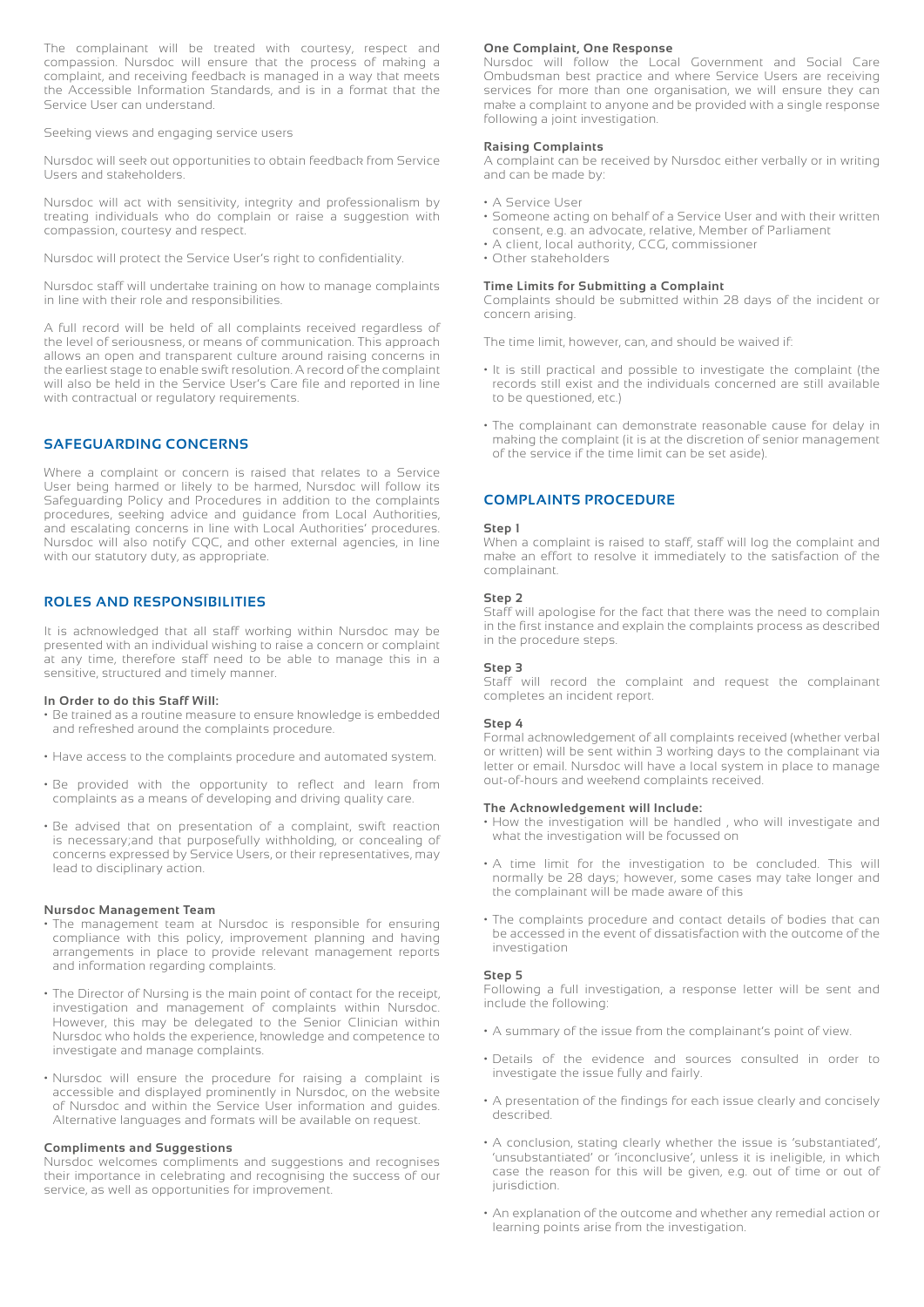The complainant will be treated with courtesy, respect and compassion. Nursdoc will ensure that the process of making a complaint, and receiving feedback is managed in a way that meets the Accessible Information Standards, and is in a format that the Service User can understand.

Seeking views and engaging service users

Nursdoc will seek out opportunities to obtain feedback from Service Users and stakeholders.

Nursdoc will act with sensitivity, integrity and professionalism by treating individuals who do complain or raise a suggestion with compassion, courtesy and respect.

Nursdoc will protect the Service User's right to confidentiality.

Nursdoc staff will undertake training on how to manage complaints in line with their role and responsibilities.

A full record will be held of all complaints received regardless of the level of seriousness, or means of communication. This approach allows an open and transparent culture around raising concerns in the earliest stage to enable swift resolution. A record of the complaint will also be held in the Service User's Care file and reported in line with contractual or regulatory requirements.

# **SAFEGUARDING CONCERNS**

Where a complaint or concern is raised that relates to a Service User being harmed or likely to be harmed, Nursdoc will follow its Safeguarding Policy and Procedures in addition to the complaints procedures, seeking advice and guidance from Local Authorities, and escalating concerns in line with Local Authorities' procedures. Nursdoc will also notify CQC, and other external agencies, in line with our statutory duty, as appropriate.

# **ROLES AND RESPONSIBILITIES**

It is acknowledged that all staff working within Nursdoc may be presented with an individual wishing to raise a concern or complaint at any time, therefore staff need to be able to manage this in a sensitive, structured and timely manner.

#### **In Order to do this Staff Will:**

- Be trained as a routine measure to ensure knowledge is embedded and refreshed around the complaints procedure.
- Have access to the complaints procedure and automated system.
- Be provided with the opportunity to reflect and learn from complaints as a means of developing and driving quality care.
- Be advised that on presentation of a complaint, swift reaction is necessary;and that purposefully withholding, or concealing of concerns expressed by Service Users, or their representatives, may lead to disciplinary action.

#### **Nursdoc Management Team**

- The management team at Nursdoc is responsible for ensuring compliance with this policy, improvement planning and having arrangements in place to provide relevant management reports and information regarding complaints.
- The Director of Nursing is the main point of contact for the receipt, investigation and management of complaints within Nursdoc. However, this may be delegated to the Senior Clinician within Nursdoc who holds the experience, knowledge and competence to investigate and manage complaints.
- Nursdoc will ensure the procedure for raising a complaint is accessible and displayed prominently in Nursdoc, on the website of Nursdoc and within the Service User information and guides. Alternative languages and formats will be available on request.

# **Compliments and Suggestions**

Nursdoc welcomes compliments and suggestions and recognises their importance in celebrating and recognising the success of our service, as well as opportunities for improvement.

#### **One Complaint, One Response**

Nursdoc will follow the Local Government and Social Care Ombudsman best practice and where Service Users are receiving services for more than one organisation, we will ensure they can make a complaint to anyone and be provided with a single response following a joint investigation.

#### **Raising Complaints**

A complaint can be received by Nursdoc either verbally or in writing and can be made by:

- A Service User
- Someone acting on behalf of a Service User and with their written consent, e.g. an advocate, relative, Member of Parliament
- A client, local authority, CCG, commissioner
- Other stakeholders

#### **Time Limits for Submitting a Complaint**

Complaints should be submitted within 28 days of the incident or concern arising.

The time limit, however, can, and should be waived if:

- It is still practical and possible to investigate the complaint (the records still exist and the individuals concerned are still available to be questioned, etc.)
- The complainant can demonstrate reasonable cause for delay in making the complaint (it is at the discretion of senior management of the service if the time limit can be set aside).

# **COMPLAINTS PROCEDURE**

#### **Step 1**

When a complaint is raised to staff, staff will log the complaint and make an effort to resolve it immediately to the satisfaction of the complainant.

#### **Step 2**

Staff will apologise for the fact that there was the need to complain in the first instance and explain the complaints process as described in the procedure steps.

#### **Step 3**

Staff will record the complaint and request the complainant completes an incident report.

#### **Step 4**

Formal acknowledgement of all complaints received (whether verbal or written) will be sent within 3 working days to the complainant via letter or email. Nursdoc will have a local system in place to manage out-of-hours and weekend complaints received.

#### **The Acknowledgement will Include:**

- How the investigation will be handled , who will investigate and what the investigation will be focussed on
- A time limit for the investigation to be concluded. This will normally be 28 days; however, some cases may take longer and the complainant will be made aware of this
- The complaints procedure and contact details of bodies that can be accessed in the event of dissatisfaction with the outcome of the investigation

#### **Step 5**

Following a full investigation, a response letter will be sent and include the following:

- A summary of the issue from the complainant's point of view.
- Details of the evidence and sources consulted in order to investigate the issue fully and fairly.
- A presentation of the findings for each issue clearly and concisely described.
- A conclusion, stating clearly whether the issue is 'substantiated', 'unsubstantiated' or 'inconclusive', unless it is ineligible, in which case the reason for this will be given, e.g. out of time or out of jurisdiction.
- An explanation of the outcome and whether any remedial action or learning points arise from the investigation.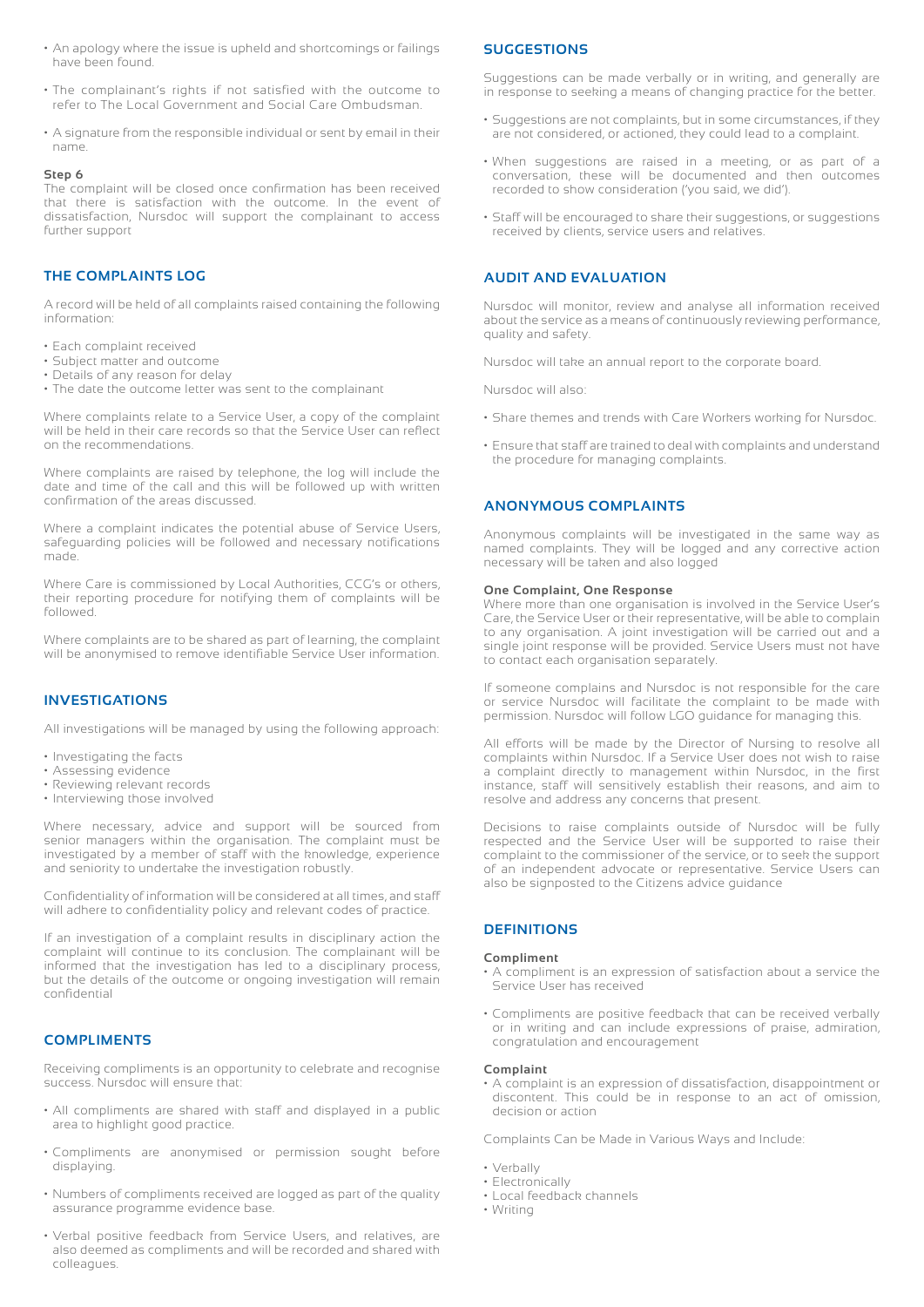- An apology where the issue is upheld and shortcomings or failings have been found.
- The complainant's rights if not satisfied with the outcome to refer to The Local Government and Social Care Ombudsman.
- A signature from the responsible individual or sent by email in their name.

#### **Step 6**

The complaint will be closed once confirmation has been received that there is satisfaction with the outcome. In the event of dissatisfaction, Nursdoc will support the complainant to access further support

# **THE COMPLAINTS LOG**

A record will be held of all complaints raised containing the following information:

- Each complaint received
- Subject matter and outcome
- Details of any reason for delay
- The date the outcome letter was sent to the complainant

Where complaints relate to a Service User, a copy of the complaint will be held in their care records so that the Service User can reflect on the recommendations.

Where complaints are raised by telephone, the log will include the date and time of the call and this will be followed up with written confirmation of the areas discussed.

Where a complaint indicates the potential abuse of Service Users, safeguarding policies will be followed and necessary notifications made.

Where Care is commissioned by Local Authorities, CCG's or others, their reporting procedure for notifying them of complaints will be followed.

Where complaints are to be shared as part of learning, the complaint will be anonymised to remove identifiable Service User information.

# **INVESTIGATIONS**

All investigations will be managed by using the following approach:

- Investigating the facts
- Assessing evidence
- Reviewing relevant records
- Interviewing those involved

Where necessary, advice and support will be sourced from senior managers within the organisation. The complaint must be investigated by a member of staff with the knowledge, experience and seniority to undertake the investigation robustly.

Confidentiality of information will be considered at all times, and staff will adhere to confidentiality policy and relevant codes of practice.

If an investigation of a complaint results in disciplinary action the complaint will continue to its conclusion. The complainant will be informed that the investigation has led to a disciplinary process, but the details of the outcome or ongoing investigation will remain confidential

#### **COMPLIMENTS**

Receiving compliments is an opportunity to celebrate and recognise success. Nursdoc will ensure that:

- All compliments are shared with staff and displayed in a public area to highlight good practice.
- Compliments are anonymised or permission sought before displaying.
- Numbers of compliments received are logged as part of the quality assurance programme evidence base.
- Verbal positive feedback from Service Users, and relatives, are also deemed as compliments and will be recorded and shared with colleagues.

## **SUGGESTIONS**

Suggestions can be made verbally or in writing, and generally are in response to seeking a means of changing practice for the better.

- Suggestions are not complaints, but in some circumstances, if they are not considered, or actioned, they could lead to a complaint.
- When suggestions are raised in a meeting, or as part of a conversation, these will be documented and then outcomes recorded to show consideration ('you said, we did').
- Staff will be encouraged to share their suggestions, or suggestions received by clients, service users and relatives.

### **AUDIT AND EVALUATION**

Nursdoc will monitor, review and analyse all information received about the service as a means of continuously reviewing performance, quality and safety.

Nursdoc will take an annual report to the corporate board.

Nursdoc will also:

- Share themes and trends with Care Workers working for Nursdoc.
- Ensure that staff are trained to deal with complaints and understand the procedure for managing complaints.

# **ANONYMOUS COMPLAINTS**

Anonymous complaints will be investigated in the same way as named complaints. They will be logged and any corrective action necessary will be taken and also logged

#### **One Complaint, One Response**

Where more than one organisation is involved in the Service User's Care, the Service User or their representative, will be able to complain to any organisation. A joint investigation will be carried out and a single joint response will be provided. Service Users must not have to contact each organisation separately.

If someone complains and Nursdoc is not responsible for the care or service Nursdoc will facilitate the complaint to be made with permission. Nursdoc will follow LGO guidance for managing this.

All efforts will be made by the Director of Nursing to resolve all complaints within Nursdoc. If a Service User does not wish to raise a complaint directly to management within Nursdoc, in the first instance, staff will sensitively establish their reasons, and aim to resolve and address any concerns that present.

Decisions to raise complaints outside of Nursdoc will be fully respected and the Service User will be supported to raise their complaint to the commissioner of the service, or to seek the support of an independent advocate or representative. Service Users can also be signposted to the Citizens advice guidance

# **DEFINITIONS**

#### **Compliment**

- A compliment is an expression of satisfaction about a service the Service User has received
- Compliments are positive feedback that can be received verbally or in writing and can include expressions of praise, admiration, congratulation and encouragement

#### **Complaint**

• A complaint is an expression of dissatisfaction, disappointment or discontent. This could be in response to an act of omission, decision or action

Complaints Can be Made in Various Ways and Include:

- Verbally
- Electronically
- Local feedback channels
- Writing